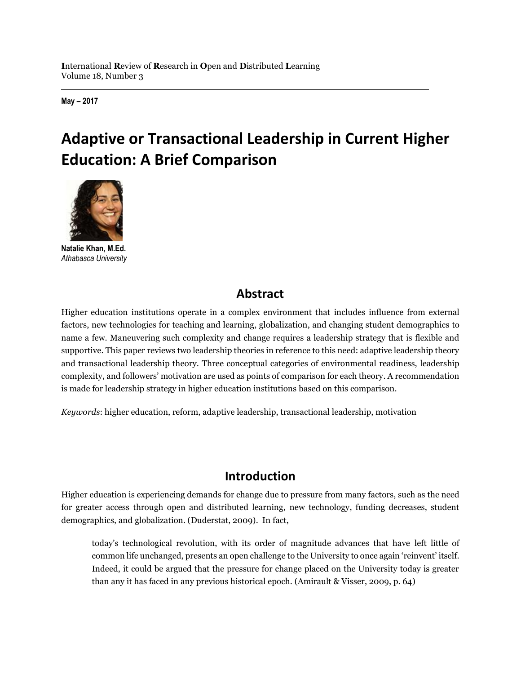**May – 2017**

# **Adaptive or Transactional Leadership in Current Higher Education: A Brief Comparison**



**Natalie Khan, M.Ed.** *Athabasca University*

## **Abstract**

Higher education institutions operate in a complex environment that includes influence from external factors, new technologies for teaching and learning, globalization, and changing student demographics to name a few. Maneuvering such complexity and change requires a leadership strategy that is flexible and supportive. This paper reviews two leadership theories in reference to this need: adaptive leadership theory and transactional leadership theory. Three conceptual categories of environmental readiness, leadership complexity, and followers' motivation are used as points of comparison for each theory. A recommendation is made for leadership strategy in higher education institutions based on this comparison.

*Keywords*: higher education, reform, adaptive leadership, transactional leadership, motivation

# **Introduction**

Higher education is experiencing demands for change due to pressure from many factors, such as the need for greater access through open and distributed learning, new technology, funding decreases, student demographics, and globalization. (Duderstat, 2009). In fact,

today's technological revolution, with its order of magnitude advances that have left little of common life unchanged, presents an open challenge to the University to once again 'reinvent' itself. Indeed, it could be argued that the pressure for change placed on the University today is greater than any it has faced in any previous historical epoch. (Amirault & Visser, 2009, p. 64)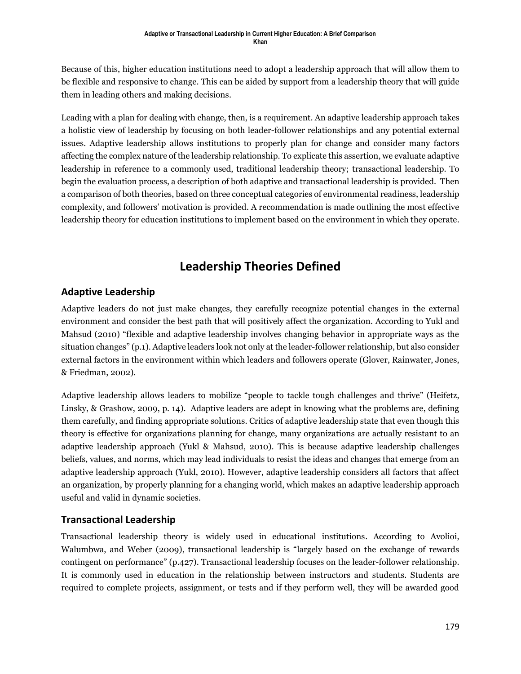Because of this, higher education institutions need to adopt a leadership approach that will allow them to be flexible and responsive to change. This can be aided by support from a leadership theory that will guide them in leading others and making decisions.

Leading with a plan for dealing with change, then, is a requirement. An adaptive leadership approach takes a holistic view of leadership by focusing on both leader-follower relationships and any potential external issues. Adaptive leadership allows institutions to properly plan for change and consider many factors affecting the complex nature of the leadership relationship. To explicate this assertion, we evaluate adaptive leadership in reference to a commonly used, traditional leadership theory; transactional leadership. To begin the evaluation process, a description of both adaptive and transactional leadership is provided. Then a comparison of both theories, based on three conceptual categories of environmental readiness, leadership complexity, and followers' motivation is provided. A recommendation is made outlining the most effective leadership theory for education institutions to implement based on the environment in which they operate.

## **Leadership Theories Defined**

#### **Adaptive Leadership**

Adaptive leaders do not just make changes, they carefully recognize potential changes in the external environment and consider the best path that will positively affect the organization. According to Yukl and Mahsud (2010) "flexible and adaptive leadership involves changing behavior in appropriate ways as the situation changes" (p.1). Adaptive leaders look not only at the leader-follower relationship, but also consider external factors in the environment within which leaders and followers operate (Glover, Rainwater, Jones, & Friedman, 2002).

Adaptive leadership allows leaders to mobilize "people to tackle tough challenges and thrive" (Heifetz, Linsky, & Grashow, 2009, p. 14). Adaptive leaders are adept in knowing what the problems are, defining them carefully, and finding appropriate solutions. Critics of adaptive leadership state that even though this theory is effective for organizations planning for change, many organizations are actually resistant to an adaptive leadership approach (Yukl & Mahsud, 2010). This is because adaptive leadership challenges beliefs, values, and norms, which may lead individuals to resist the ideas and changes that emerge from an adaptive leadership approach (Yukl, 2010). However, adaptive leadership considers all factors that affect an organization, by properly planning for a changing world, which makes an adaptive leadership approach useful and valid in dynamic societies.

#### **Transactional Leadership**

Transactional leadership theory is widely used in educational institutions. According to Avolioi, Walumbwa, and Weber (2009), transactional leadership is "largely based on the exchange of rewards contingent on performance" (p.427). Transactional leadership focuses on the leader-follower relationship. It is commonly used in education in the relationship between instructors and students. Students are required to complete projects, assignment, or tests and if they perform well, they will be awarded good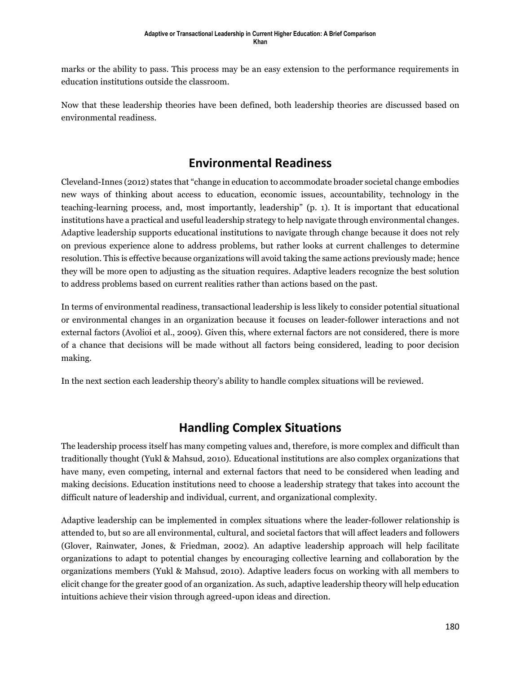marks or the ability to pass. This process may be an easy extension to the performance requirements in education institutions outside the classroom.

Now that these leadership theories have been defined, both leadership theories are discussed based on environmental readiness.

#### **Environmental Readiness**

Cleveland-Innes (2012) states that "change in education to accommodate broader societal change embodies new ways of thinking about access to education, economic issues, accountability, technology in the teaching-learning process, and, most importantly, leadership" (p. 1). It is important that educational institutions have a practical and useful leadership strategy to help navigate through environmental changes. Adaptive leadership supports educational institutions to navigate through change because it does not rely on previous experience alone to address problems, but rather looks at current challenges to determine resolution. This is effective because organizations will avoid taking the same actions previously made; hence they will be more open to adjusting as the situation requires. Adaptive leaders recognize the best solution to address problems based on current realities rather than actions based on the past.

In terms of environmental readiness, transactional leadership is less likely to consider potential situational or environmental changes in an organization because it focuses on leader-follower interactions and not external factors (Avolioi et al., 2009). Given this, where external factors are not considered, there is more of a chance that decisions will be made without all factors being considered, leading to poor decision making.

In the next section each leadership theory's ability to handle complex situations will be reviewed.

#### **Handling Complex Situations**

The leadership process itself has many competing values and, therefore, is more complex and difficult than traditionally thought (Yukl & Mahsud, 2010). Educational institutions are also complex organizations that have many, even competing, internal and external factors that need to be considered when leading and making decisions. Education institutions need to choose a leadership strategy that takes into account the difficult nature of leadership and individual, current, and organizational complexity.

Adaptive leadership can be implemented in complex situations where the leader-follower relationship is attended to, but so are all environmental, cultural, and societal factors that will affect leaders and followers (Glover, Rainwater, Jones, & Friedman, 2002). An adaptive leadership approach will help facilitate organizations to adapt to potential changes by encouraging collective learning and collaboration by the organizations members (Yukl & Mahsud, 2010). Adaptive leaders focus on working with all members to elicit change for the greater good of an organization. As such, adaptive leadership theory will help education intuitions achieve their vision through agreed-upon ideas and direction.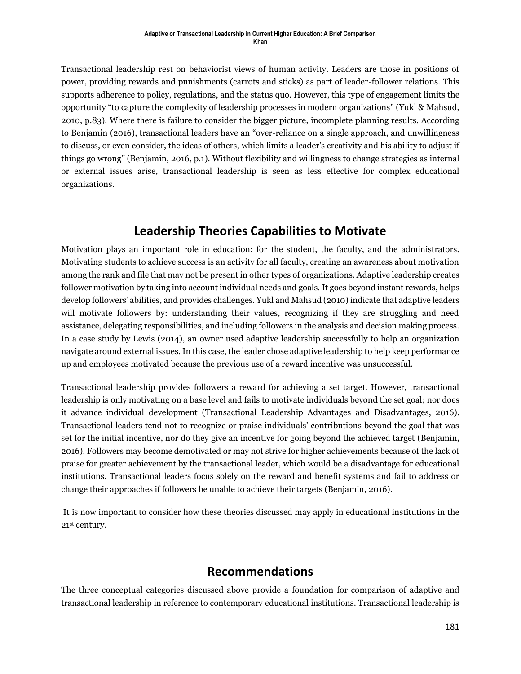#### **Adaptive or Transactional Leadership in Current Higher Education: A Brief Comparison Khan**

Transactional leadership rest on behaviorist views of human activity. Leaders are those in positions of power, providing rewards and punishments (carrots and sticks) as part of leader-follower relations. This supports adherence to policy, regulations, and the status quo. However, this type of engagement limits the opportunity "to capture the complexity of leadership processes in modern organizations" (Yukl & Mahsud, 2010, p.83). Where there is failure to consider the bigger picture, incomplete planning results. According to Benjamin (2016), transactional leaders have an "over-reliance on a single approach, and unwillingness to discuss, or even consider, the ideas of others, which limits a leader's creativity and his ability to adjust if things go wrong" (Benjamin, 2016, p.1). Without flexibility and willingness to change strategies as internal or external issues arise, transactional leadership is seen as less effective for complex educational organizations.

#### **Leadership Theories Capabilities to Motivate**

Motivation plays an important role in education; for the student, the faculty, and the administrators. Motivating students to achieve success is an activity for all faculty, creating an awareness about motivation among the rank and file that may not be present in other types of organizations. Adaptive leadership creates follower motivation by taking into account individual needs and goals. It goes beyond instant rewards, helps develop followers' abilities, and provides challenges. Yukl and Mahsud (2010) indicate that adaptive leaders will motivate followers by: understanding their values, recognizing if they are struggling and need assistance, delegating responsibilities, and including followers in the analysis and decision making process. In a case study by Lewis (2014), an owner used adaptive leadership successfully to help an organization navigate around external issues. In this case, the leader chose adaptive leadership to help keep performance up and employees motivated because the previous use of a reward incentive was unsuccessful.

Transactional leadership provides followers a reward for achieving a set target. However, transactional leadership is only motivating on a base level and fails to motivate individuals beyond the set goal; nor does it advance individual development (Transactional Leadership Advantages and Disadvantages, 2016). Transactional leaders tend not to recognize or praise individuals' contributions beyond the goal that was set for the initial incentive, nor do they give an incentive for going beyond the achieved target (Benjamin, 2016). Followers may become demotivated or may not strive for higher achievements because of the lack of praise for greater achievement by the transactional leader, which would be a disadvantage for educational institutions. Transactional leaders focus solely on the reward and benefit systems and fail to address or change their approaches if followers be unable to achieve their targets (Benjamin, 2016).

It is now important to consider how these theories discussed may apply in educational institutions in the 21st century.

#### **Recommendations**

The three conceptual categories discussed above provide a foundation for comparison of adaptive and transactional leadership in reference to contemporary educational institutions. Transactional leadership is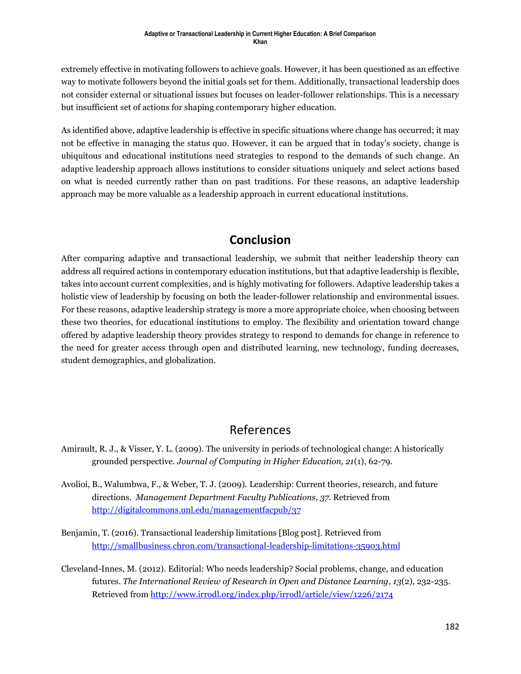extremely effective in motivating followers to achieve goals. However, it has been questioned as an effective way to motivate followers beyond the initial goals set for them. Additionally, transactional leadership does not consider external or situational issues but focuses on leader-follower relationships. This is a necessary but insufficient set of actions for shaping contemporary higher education.

As identified above, adaptive leadership is effective in specific situations where change has occurred; it may not be effective in managing the status quo. However, it can be argued that in today's society, change is ubiquitous and educational institutions need strategies to respond to the demands of such change. An adaptive leadership approach allows institutions to consider situations uniquely and select actions based on what is needed currently rather than on past traditions. For these reasons, an adaptive leadership approach may be more valuable as a leadership approach in current educational institutions.

## **Conclusion**

After comparing adaptive and transactional leadership, we submit that neither leadership theory can address all required actions in contemporary education institutions, but that adaptive leadership is flexible, takes into account current complexities, and is highly motivating for followers. Adaptive leadership takes a holistic view of leadership by focusing on both the leader-follower relationship and environmental issues. For these reasons, adaptive leadership strategy is more a more appropriate choice, when choosing between these two theories, for educational institutions to employ. The flexibility and orientation toward change offered by adaptive leadership theory provides strategy to respond to demands for change in reference to the need for greater access through open and distributed learning, new technology, funding decreases, student demographics, and globalization.

#### References

- Amirault, R. J., & Visser, Y. L. (2009). The university in periods of technological change: A historically grounded perspective. *Journal of Computing in Higher Education, 21*(1), 62-79.
- Avolioi, B., Walumbwa, F., & Weber, T. J. (2009). Leadership: Current theories, research, and future directions. *Management Department Faculty Publications, 37.* Retrieved from <http://digitalcommons.unl.edu/managementfacpub/37>
- Benjamin, T. (2016). Transactional leadership limitations [Blog post]. Retrieved from <http://smallbusiness.chron.com/transactional-leadership-limitations-35903.html>
- Cleveland-Innes, M. (2012). Editorial: Who needs leadership? Social problems, change, and education futures. *The International Review of Research in Open and Distance Learning*, *13*(2), 232-235. Retrieved from<http://www.irrodl.org/index.php/irrodl/article/view/1226/2174>